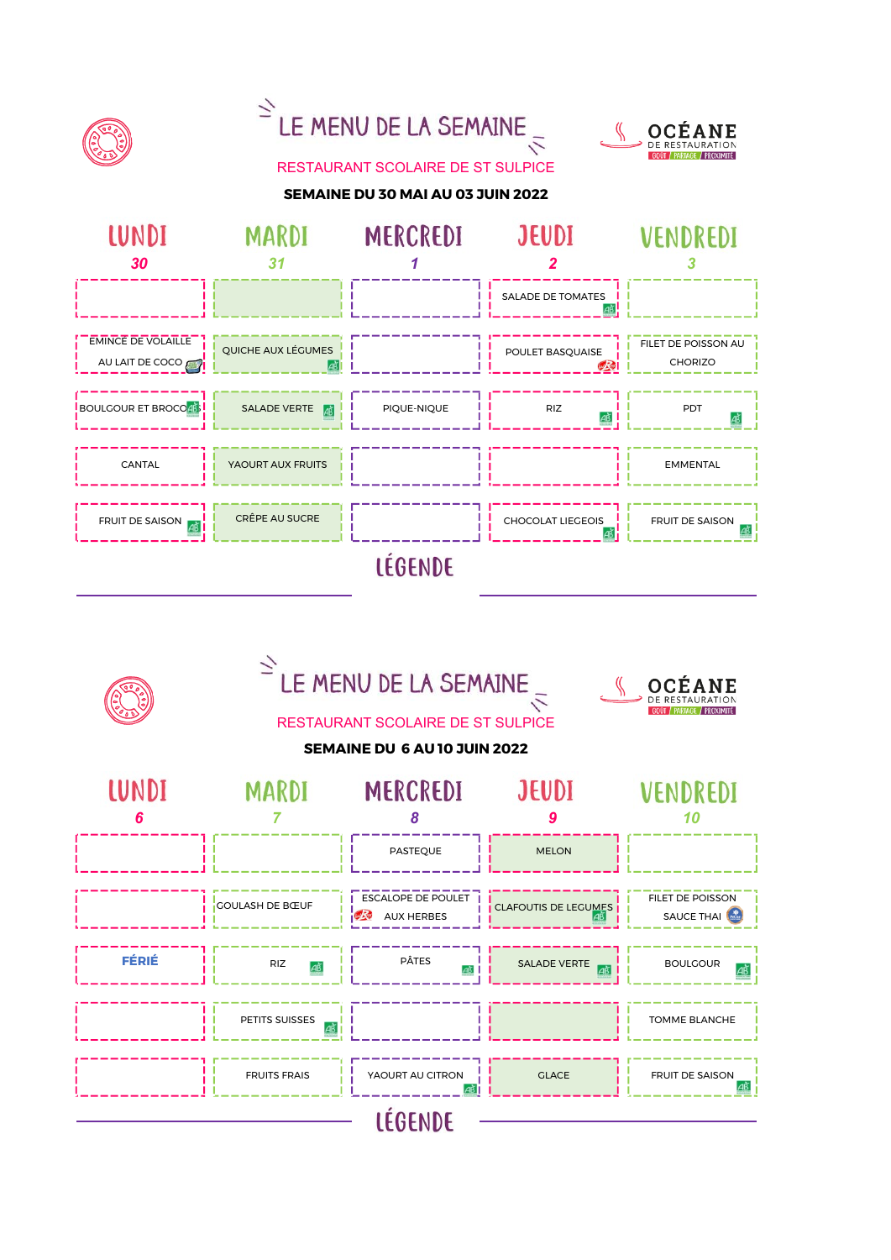





### RESTAURANT SCOLAIRE DE ST SULPICE





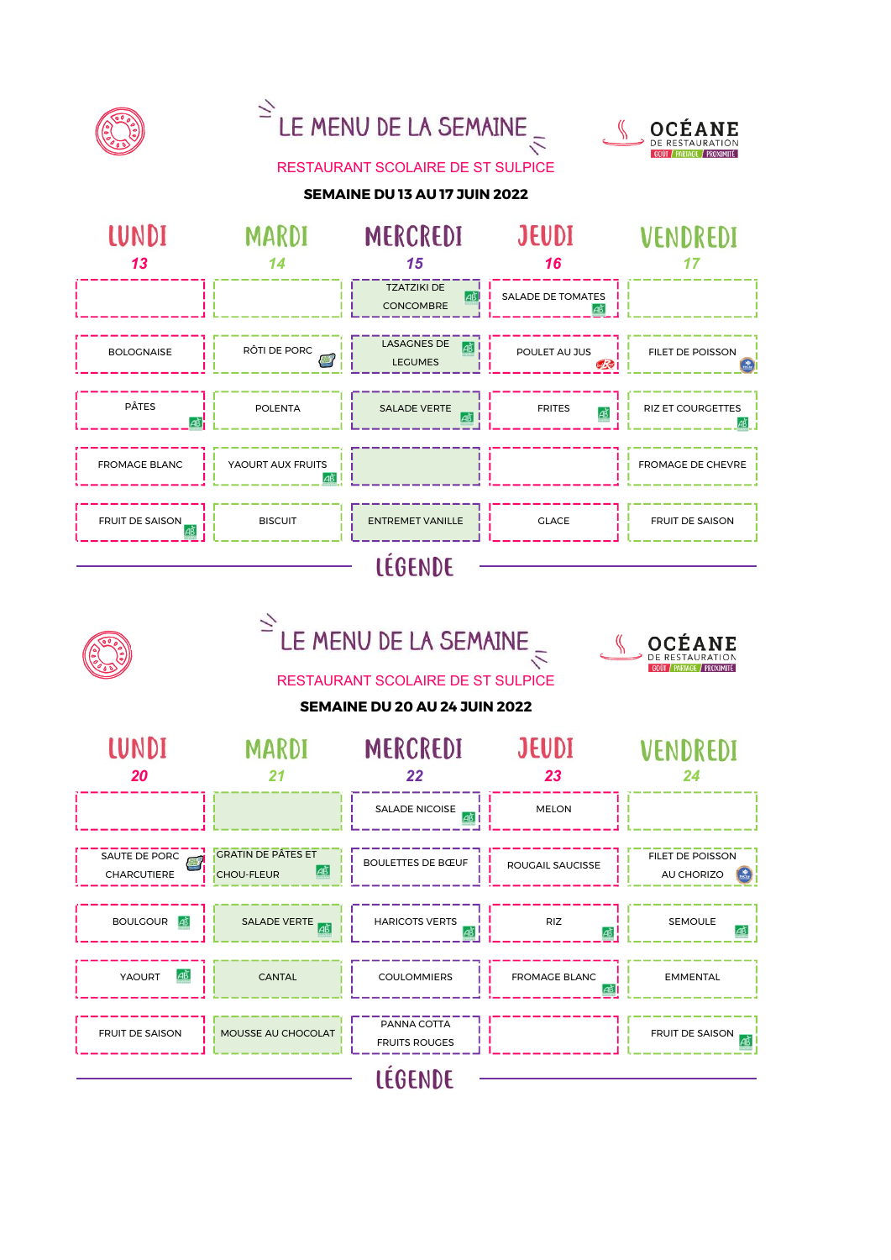

# $\leq$  LE MENU DE LA SEMAINE



#### RESTAURANT SCOLAIRE DE ST SULPICE

#### SEMAINE DU 13 AU 17 JUIN 2022